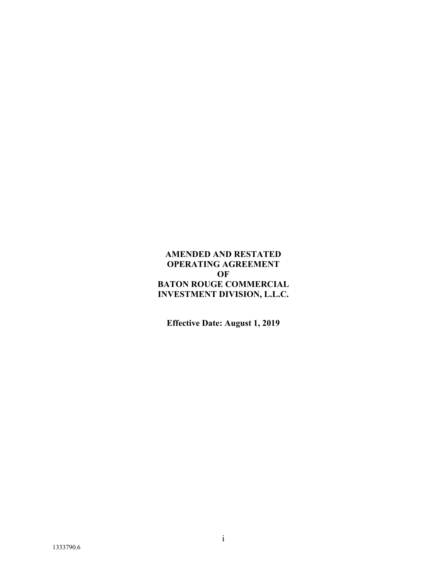# **AMENDED AND RESTATED OPERATING AGREEMENT OF BATON ROUGE COMMERCIAL INVESTMENT DIVISION, L.L.C.**

**Effective Date: August 1, 2019**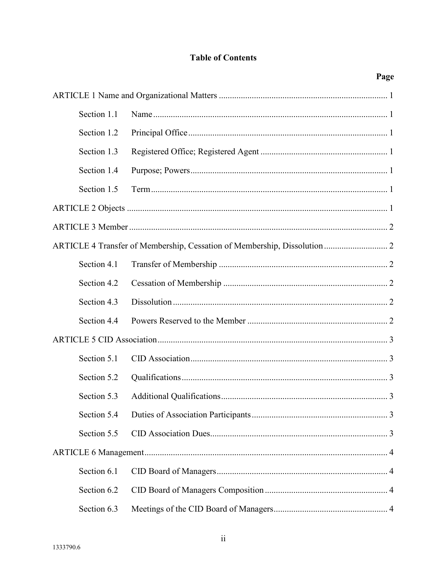# **Table of Contents**

Page

| Section 1.1 |                                                                          |
|-------------|--------------------------------------------------------------------------|
| Section 1.2 |                                                                          |
| Section 1.3 |                                                                          |
| Section 1.4 |                                                                          |
| Section 1.5 |                                                                          |
|             |                                                                          |
|             |                                                                          |
|             | ARTICLE 4 Transfer of Membership, Cessation of Membership, Dissolution 2 |
| Section 4.1 |                                                                          |
| Section 4.2 |                                                                          |
| Section 4.3 |                                                                          |
| Section 4.4 |                                                                          |
|             |                                                                          |
| Section 5.1 |                                                                          |
| Section 5.2 |                                                                          |
| Section 5.3 |                                                                          |
|             |                                                                          |
| Section 5.5 |                                                                          |
|             |                                                                          |
| Section 6.1 |                                                                          |
| Section 6.2 |                                                                          |
| Section 6.3 |                                                                          |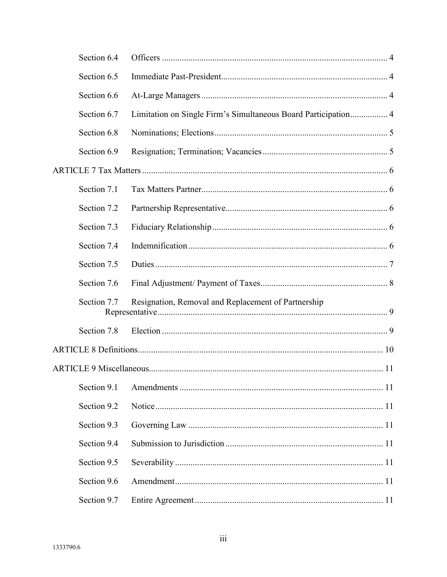| Section 6.4 |                                                                |  |
|-------------|----------------------------------------------------------------|--|
| Section 6.5 |                                                                |  |
| Section 6.6 |                                                                |  |
| Section 6.7 | Limitation on Single Firm's Simultaneous Board Participation 4 |  |
| Section 6.8 |                                                                |  |
| Section 6.9 |                                                                |  |
|             |                                                                |  |
| Section 7.1 |                                                                |  |
| Section 7.2 |                                                                |  |
| Section 7.3 |                                                                |  |
| Section 7.4 |                                                                |  |
| Section 7.5 |                                                                |  |
| Section 7.6 |                                                                |  |
| Section 7.7 | Resignation, Removal and Replacement of Partnership            |  |
| Section 7.8 |                                                                |  |
|             |                                                                |  |
|             |                                                                |  |
| Section 9.1 |                                                                |  |
| Section 9.2 |                                                                |  |
| Section 9.3 |                                                                |  |
| Section 9.4 |                                                                |  |
| Section 9.5 |                                                                |  |
| Section 9.6 |                                                                |  |
| Section 9.7 |                                                                |  |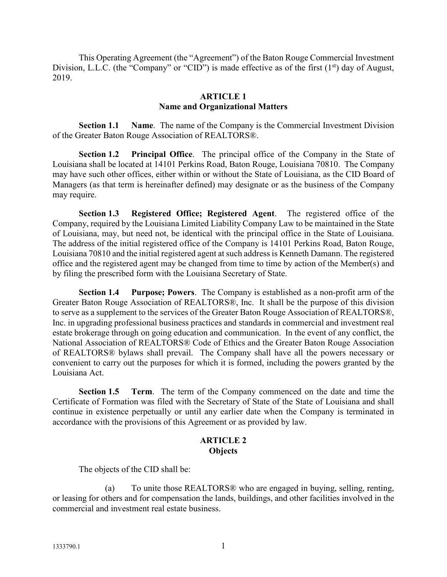This Operating Agreement (the "Agreement") of the Baton Rouge Commercial Investment Division, L.L.C. (the "Company" or "CID") is made effective as of the first  $(1<sup>st</sup>)$  day of August, 2019.

#### **ARTICLE 1 Name and Organizational Matters**

**Section 1.1 Name**. The name of the Company is the Commercial Investment Division of the Greater Baton Rouge Association of REALTORS®.

**Section 1.2 Principal Office**. The principal office of the Company in the State of Louisiana shall be located at 14101 Perkins Road, Baton Rouge, Louisiana 70810. The Company may have such other offices, either within or without the State of Louisiana, as the CID Board of Managers (as that term is hereinafter defined) may designate or as the business of the Company may require.

**Section 1.3 Registered Office; Registered Agent**. The registered office of the Company, required by the Louisiana Limited Liability Company Law to be maintained in the State of Louisiana, may, but need not, be identical with the principal office in the State of Louisiana. The address of the initial registered office of the Company is 14101 Perkins Road, Baton Rouge, Louisiana 70810 and the initial registered agent at such address is Kenneth Damann. The registered office and the registered agent may be changed from time to time by action of the Member(s) and by filing the prescribed form with the Louisiana Secretary of State.

**Section 1.4 Purpose; Powers**. The Company is established as a non-profit arm of the Greater Baton Rouge Association of REALTORS®, Inc. It shall be the purpose of this division to serve as a supplement to the services of the Greater Baton Rouge Association of REALTORS®, Inc. in upgrading professional business practices and standards in commercial and investment real estate brokerage through on going education and communication. In the event of any conflict, the National Association of REALTORS® Code of Ethics and the Greater Baton Rouge Association of REALTORS® bylaws shall prevail. The Company shall have all the powers necessary or convenient to carry out the purposes for which it is formed, including the powers granted by the Louisiana Act.

**Section 1.5 Term**. The term of the Company commenced on the date and time the Certificate of Formation was filed with the Secretary of State of the State of Louisiana and shall continue in existence perpetually or until any earlier date when the Company is terminated in accordance with the provisions of this Agreement or as provided by law.

### **ARTICLE 2 Objects**

The objects of the CID shall be:

To unite those REALTORS® who are engaged in buying, selling, renting, or leasing for others and for compensation the lands, buildings, and other facilities involved in the commercial and investment real estate business.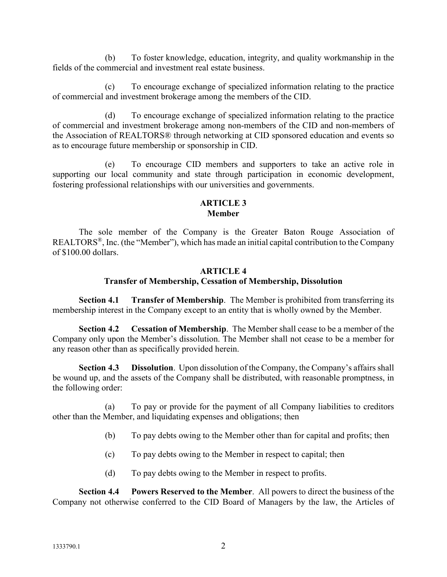(b) To foster knowledge, education, integrity, and quality workmanship in the fields of the commercial and investment real estate business.

(c) To encourage exchange of specialized information relating to the practice of commercial and investment brokerage among the members of the CID.

(d) To encourage exchange of specialized information relating to the practice of commercial and investment brokerage among non-members of the CID and non-members of the Association of REALTORS® through networking at CID sponsored education and events so as to encourage future membership or sponsorship in CID.

(e) To encourage CID members and supporters to take an active role in supporting our local community and state through participation in economic development, fostering professional relationships with our universities and governments.

## **ARTICLE 3 Member**

The sole member of the Company is the Greater Baton Rouge Association of REALTORS®, Inc. (the "Member"), which has made an initial capital contribution to the Company of \$100.00 dollars.

## **ARTICLE 4**

# **Transfer of Membership, Cessation of Membership, Dissolution**

**Section 4.1 Transfer of Membership**. The Member is prohibited from transferring its membership interest in the Company except to an entity that is wholly owned by the Member.

**Section 4.2 Cessation of Membership**. The Member shall cease to be a member of the Company only upon the Member's dissolution. The Member shall not cease to be a member for any reason other than as specifically provided herein.

**Section 4.3 Dissolution**. Upon dissolution of the Company, the Company's affairs shall be wound up, and the assets of the Company shall be distributed, with reasonable promptness, in the following order:

(a) To pay or provide for the payment of all Company liabilities to creditors other than the Member, and liquidating expenses and obligations; then

- (b) To pay debts owing to the Member other than for capital and profits; then
- (c) To pay debts owing to the Member in respect to capital; then
- (d) To pay debts owing to the Member in respect to profits.

**Section 4.4 Powers Reserved to the Member**. All powers to direct the business of the Company not otherwise conferred to the CID Board of Managers by the law, the Articles of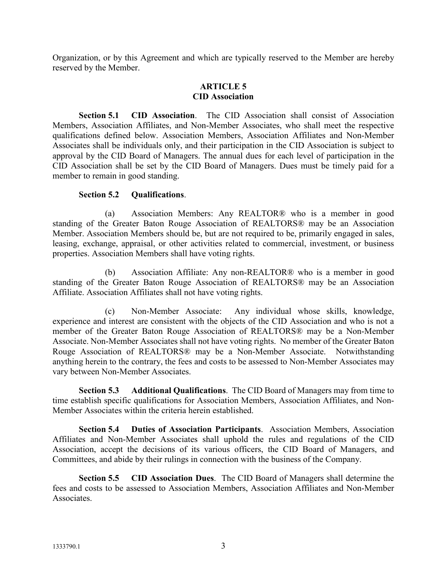Organization, or by this Agreement and which are typically reserved to the Member are hereby reserved by the Member.

#### **ARTICLE 5 CID Association**

**Section 5.1 CID Association**. The CID Association shall consist of Association Members, Association Affiliates, and Non-Member Associates, who shall meet the respective qualifications defined below. Association Members, Association Affiliates and Non-Member Associates shall be individuals only, and their participation in the CID Association is subject to approval by the CID Board of Managers. The annual dues for each level of participation in the CID Association shall be set by the CID Board of Managers. Dues must be timely paid for a member to remain in good standing.

#### **Section 5.2 Qualifications**.

(a) Association Members: Any REALTOR® who is a member in good standing of the Greater Baton Rouge Association of REALTORS® may be an Association Member. Association Members should be, but are not required to be, primarily engaged in sales, leasing, exchange, appraisal, or other activities related to commercial, investment, or business properties. Association Members shall have voting rights.

(b) Association Affiliate: Any non-REALTOR® who is a member in good standing of the Greater Baton Rouge Association of REALTORS® may be an Association Affiliate. Association Affiliates shall not have voting rights.

(c) Non-Member Associate: Any individual whose skills, knowledge, experience and interest are consistent with the objects of the CID Association and who is not a member of the Greater Baton Rouge Association of REALTORS® may be a Non-Member Associate. Non-Member Associates shall not have voting rights. No member of the Greater Baton Rouge Association of REALTORS® may be a Non-Member Associate. Notwithstanding anything herein to the contrary, the fees and costs to be assessed to Non-Member Associates may vary between Non-Member Associates.

**Section 5.3 Additional Qualifications**. The CID Board of Managers may from time to time establish specific qualifications for Association Members, Association Affiliates, and Non-Member Associates within the criteria herein established.

**Section 5.4 Duties of Association Participants**. Association Members, Association Affiliates and Non-Member Associates shall uphold the rules and regulations of the CID Association, accept the decisions of its various officers, the CID Board of Managers, and Committees, and abide by their rulings in connection with the business of the Company.

**Section 5.5 CID Association Dues**. The CID Board of Managers shall determine the fees and costs to be assessed to Association Members, Association Affiliates and Non-Member Associates.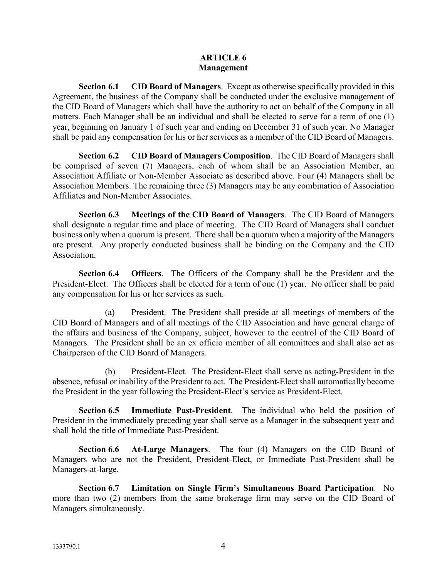#### **ARTICLE 6 Management**

**Section 6.1 CID Board of Managers**. Except as otherwise specifically provided in this Agreement, the business of the Company shall be conducted under the exclusive management of the CID Board of Managers which shall have the authority to act on behalf of the Company in all matters. Each Manager shall be an individual and shall be elected to serve for a term of one (1) year, beginning on January 1 of such year and ending on December 31 of such year. No Manager shall be paid any compensation for his or her services as a member of the CID Board of Managers.

**Section 6.2 CID Board of Managers Composition**. The CID Board of Managers shall be comprised of seven (7) Managers, each of whom shall be an Association Member, an Association Affiliate or Non-Member Associate as described above. Four (4) Managers shall be Association Members. The remaining three (3) Managers may be any combination of Association Affiliates and Non-Member Associates.

**Section 6.3 Meetings of the CID Board of Managers**. The CID Board of Managers shall designate a regular time and place of meeting. The CID Board of Managers shall conduct business only when a quorum is present. There shall be a quorum when a majority of the Managers are present. Any properly conducted business shall be binding on the Company and the CID Association.

**Section 6.4 Officers**. The Officers of the Company shall be the President and the President-Elect. The Officers shall be elected for a term of one (1) year. No officer shall be paid any compensation for his or her services as such.

(a) President. The President shall preside at all meetings of members of the CID Board of Managers and of all meetings of the CID Association and have general charge of the affairs and business of the Company, subject, however to the control of the CID Board of Managers. The President shall be an ex officio member of all committees and shall also act as Chairperson of the CID Board of Managers.

(b) President-Elect. The President-Elect shall serve as acting-President in the absence, refusal or inability of the President to act. The President-Elect shall automatically become the President in the year following the President-Elect's service as President-Elect.

**Section 6.5 Immediate Past-President**. The individual who held the position of President in the immediately preceding year shall serve as a Manager in the subsequent year and shall hold the title of Immediate Past-President.

**Section 6.6 At-Large Managers**. The four (4) Managers on the CID Board of Managers who are not the President, President-Elect, or Immediate Past-President shall be Managers-at-large.

**Section 6.7 Limitation on Single Firm's Simultaneous Board Participation**. No more than two (2) members from the same brokerage firm may serve on the CID Board of Managers simultaneously.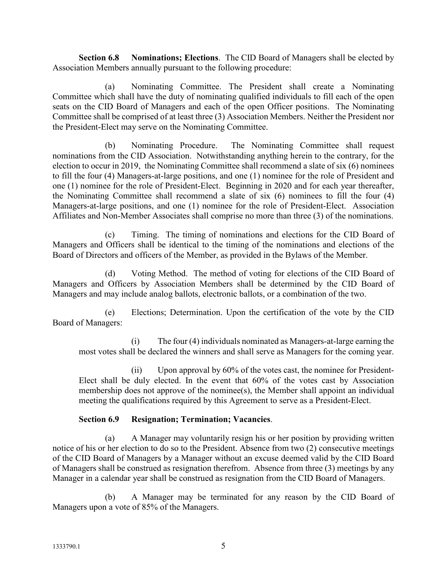**Section 6.8 Nominations; Elections**. The CID Board of Managers shall be elected by Association Members annually pursuant to the following procedure:

(a) Nominating Committee. The President shall create a Nominating Committee which shall have the duty of nominating qualified individuals to fill each of the open seats on the CID Board of Managers and each of the open Officer positions. The Nominating Committee shall be comprised of at least three (3) Association Members. Neither the President nor the President-Elect may serve on the Nominating Committee.

(b) Nominating Procedure. The Nominating Committee shall request nominations from the CID Association. Notwithstanding anything herein to the contrary, for the election to occur in 2019, the Nominating Committee shall recommend a slate of six (6) nominees to fill the four (4) Managers-at-large positions, and one (1) nominee for the role of President and one (1) nominee for the role of President-Elect. Beginning in 2020 and for each year thereafter, the Nominating Committee shall recommend a slate of six (6) nominees to fill the four (4) Managers-at-large positions, and one (1) nominee for the role of President-Elect. Association Affiliates and Non-Member Associates shall comprise no more than three (3) of the nominations.

(c) Timing. The timing of nominations and elections for the CID Board of Managers and Officers shall be identical to the timing of the nominations and elections of the Board of Directors and officers of the Member, as provided in the Bylaws of the Member.

(d) Voting Method. The method of voting for elections of the CID Board of Managers and Officers by Association Members shall be determined by the CID Board of Managers and may include analog ballots, electronic ballots, or a combination of the two.

(e) Elections; Determination. Upon the certification of the vote by the CID Board of Managers:

(i) The four (4) individuals nominated as Managers-at-large earning the most votes shall be declared the winners and shall serve as Managers for the coming year.

(ii) Upon approval by 60% of the votes cast, the nominee for President-Elect shall be duly elected. In the event that 60% of the votes cast by Association membership does not approve of the nominee(s), the Member shall appoint an individual meeting the qualifications required by this Agreement to serve as a President-Elect.

## **Section 6.9 Resignation; Termination; Vacancies**.

(a) A Manager may voluntarily resign his or her position by providing written notice of his or her election to do so to the President. Absence from two (2) consecutive meetings of the CID Board of Managers by a Manager without an excuse deemed valid by the CID Board of Managers shall be construed as resignation therefrom. Absence from three (3) meetings by any Manager in a calendar year shall be construed as resignation from the CID Board of Managers.

(b) A Manager may be terminated for any reason by the CID Board of Managers upon a vote of 85% of the Managers.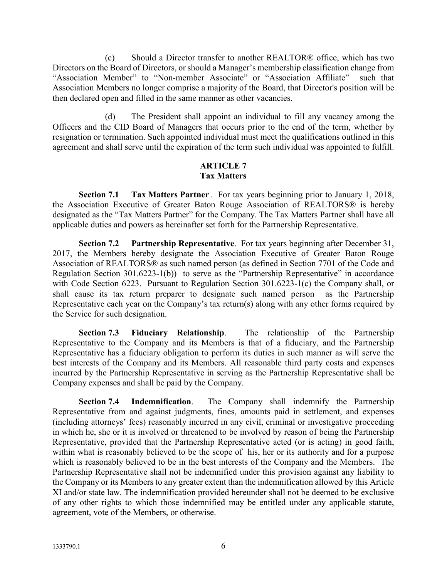(c) Should a Director transfer to another REALTOR® office, which has two Directors on the Board of Directors, or should a Manager's membership classification change from "Association Member" to "Non-member Associate" or "Association Affiliate" such that Association Members no longer comprise a majority of the Board, that Director's position will be then declared open and filled in the same manner as other vacancies.

(d) The President shall appoint an individual to fill any vacancy among the Officers and the CID Board of Managers that occurs prior to the end of the term, whether by resignation or termination. Such appointed individual must meet the qualifications outlined in this agreement and shall serve until the expiration of the term such individual was appointed to fulfill.

### **ARTICLE 7 Tax Matters**

**Section 7.1 Tax Matters Partner** . For tax years beginning prior to January 1, 2018, the Association Executive of Greater Baton Rouge Association of REALTORS® is hereby designated as the "Tax Matters Partner" for the Company. The Tax Matters Partner shall have all applicable duties and powers as hereinafter set forth for the Partnership Representative.

**Section 7.2 Partnership Representative**. For tax years beginning after December 31, 2017, the Members hereby designate the Association Executive of Greater Baton Rouge Association of REALTORS® as such named person (as defined in Section 7701 of the Code and Regulation Section 301.6223-1(b)) to serve as the "Partnership Representative" in accordance with Code Section 6223. Pursuant to Regulation Section 301.6223-1(c) the Company shall, or shall cause its tax return preparer to designate such named person as the Partnership Representative each year on the Company's tax return(s) along with any other forms required by the Service for such designation.

**Section 7.3 Fiduciary Relationship**. The relationship of the Partnership Representative to the Company and its Members is that of a fiduciary, and the Partnership Representative has a fiduciary obligation to perform its duties in such manner as will serve the best interests of the Company and its Members. All reasonable third party costs and expenses incurred by the Partnership Representative in serving as the Partnership Representative shall be Company expenses and shall be paid by the Company.

**Section 7.4 Indemnification**. The Company shall indemnify the Partnership Representative from and against judgments, fines, amounts paid in settlement, and expenses (including attorneys' fees) reasonably incurred in any civil, criminal or investigative proceeding in which he, she or it is involved or threatened to be involved by reason of being the Partnership Representative, provided that the Partnership Representative acted (or is acting) in good faith, within what is reasonably believed to be the scope of his, her or its authority and for a purpose which is reasonably believed to be in the best interests of the Company and the Members. The Partnership Representative shall not be indemnified under this provision against any liability to the Company or its Members to any greater extent than the indemnification allowed by this Article XI and/or state law. The indemnification provided hereunder shall not be deemed to be exclusive of any other rights to which those indemnified may be entitled under any applicable statute, agreement, vote of the Members, or otherwise.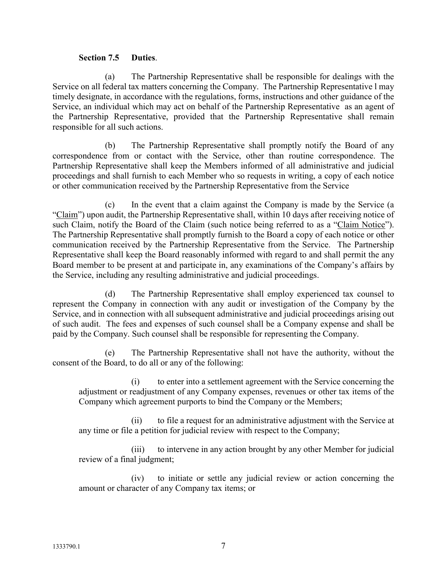#### **Section 7.5 Duties**.

(a) The Partnership Representative shall be responsible for dealings with the Service on all federal tax matters concerning the Company. The Partnership Representative l may timely designate, in accordance with the regulations, forms, instructions and other guidance of the Service, an individual which may act on behalf of the Partnership Representative as an agent of the Partnership Representative, provided that the Partnership Representative shall remain responsible for all such actions.

(b) The Partnership Representative shall promptly notify the Board of any correspondence from or contact with the Service, other than routine correspondence. The Partnership Representative shall keep the Members informed of all administrative and judicial proceedings and shall furnish to each Member who so requests in writing, a copy of each notice or other communication received by the Partnership Representative from the Service

(c) In the event that a claim against the Company is made by the Service (a "Claim") upon audit, the Partnership Representative shall, within 10 days after receiving notice of such Claim, notify the Board of the Claim (such notice being referred to as a "Claim Notice"). The Partnership Representative shall promptly furnish to the Board a copy of each notice or other communication received by the Partnership Representative from the Service. The Partnership Representative shall keep the Board reasonably informed with regard to and shall permit the any Board member to be present at and participate in, any examinations of the Company's affairs by the Service, including any resulting administrative and judicial proceedings.

(d) The Partnership Representative shall employ experienced tax counsel to represent the Company in connection with any audit or investigation of the Company by the Service, and in connection with all subsequent administrative and judicial proceedings arising out of such audit. The fees and expenses of such counsel shall be a Company expense and shall be paid by the Company. Such counsel shall be responsible for representing the Company.

(e) The Partnership Representative shall not have the authority, without the consent of the Board, to do all or any of the following:

(i) to enter into a settlement agreement with the Service concerning the adjustment or readjustment of any Company expenses, revenues or other tax items of the Company which agreement purports to bind the Company or the Members;

(ii) to file a request for an administrative adjustment with the Service at any time or file a petition for judicial review with respect to the Company;

(iii) to intervene in any action brought by any other Member for judicial review of a final judgment;

(iv) to initiate or settle any judicial review or action concerning the amount or character of any Company tax items; or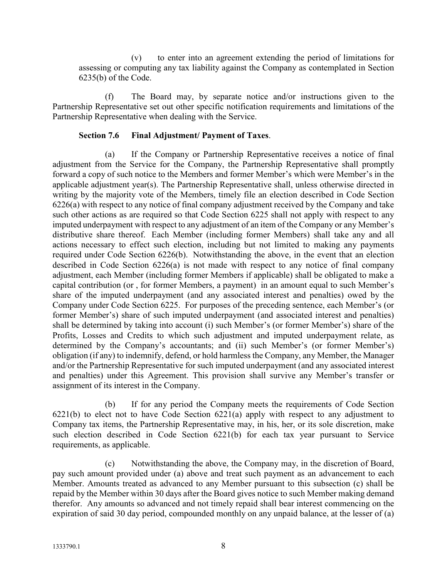(v) to enter into an agreement extending the period of limitations for assessing or computing any tax liability against the Company as contemplated in Section 6235(b) of the Code.

(f) The Board may, by separate notice and/or instructions given to the Partnership Representative set out other specific notification requirements and limitations of the Partnership Representative when dealing with the Service.

#### **Section 7.6 Final Adjustment/ Payment of Taxes**.

(a) If the Company or Partnership Representative receives a notice of final adjustment from the Service for the Company, the Partnership Representative shall promptly forward a copy of such notice to the Members and former Member's which were Member's in the applicable adjustment year(s). The Partnership Representative shall, unless otherwise directed in writing by the majority vote of the Members, timely file an election described in Code Section 6226(a) with respect to any notice of final company adjustment received by the Company and take such other actions as are required so that Code Section 6225 shall not apply with respect to any imputed underpayment with respect to any adjustment of an item of the Company or any Member's distributive share thereof. Each Member (including former Members) shall take any and all actions necessary to effect such election, including but not limited to making any payments required under Code Section 6226(b). Notwithstanding the above, in the event that an election described in Code Section 6226(a) is not made with respect to any notice of final company adjustment, each Member (including former Members if applicable) shall be obligated to make a capital contribution (or , for former Members, a payment) in an amount equal to such Member's share of the imputed underpayment (and any associated interest and penalties) owed by the Company under Code Section 6225. For purposes of the preceding sentence, each Member's (or former Member's) share of such imputed underpayment (and associated interest and penalties) shall be determined by taking into account (i) such Member's (or former Member's) share of the Profits, Losses and Credits to which such adjustment and imputed underpayment relate, as determined by the Company's accountants; and (ii) such Member's (or former Member's) obligation (if any) to indemnify, defend, or hold harmless the Company, any Member, the Manager and/or the Partnership Representative for such imputed underpayment (and any associated interest and penalties) under this Agreement. This provision shall survive any Member's transfer or assignment of its interest in the Company.

(b) If for any period the Company meets the requirements of Code Section 6221(b) to elect not to have Code Section 6221(a) apply with respect to any adjustment to Company tax items, the Partnership Representative may, in his, her, or its sole discretion, make such election described in Code Section 6221(b) for each tax year pursuant to Service requirements, as applicable.

(c) Notwithstanding the above, the Company may, in the discretion of Board, pay such amount provided under (a) above and treat such payment as an advancement to each Member. Amounts treated as advanced to any Member pursuant to this subsection (c) shall be repaid by the Member within 30 days after the Board gives notice to such Member making demand therefor. Any amounts so advanced and not timely repaid shall bear interest commencing on the expiration of said 30 day period, compounded monthly on any unpaid balance, at the lesser of (a)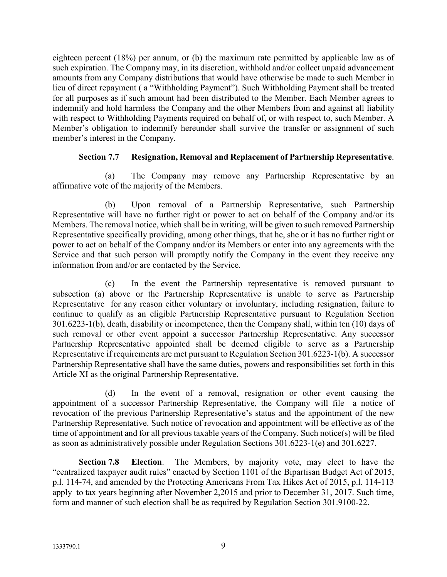eighteen percent (18%) per annum, or (b) the maximum rate permitted by applicable law as of such expiration. The Company may, in its discretion, withhold and/or collect unpaid advancement amounts from any Company distributions that would have otherwise be made to such Member in lieu of direct repayment ( a "Withholding Payment"). Such Withholding Payment shall be treated for all purposes as if such amount had been distributed to the Member. Each Member agrees to indemnify and hold harmless the Company and the other Members from and against all liability with respect to Withholding Payments required on behalf of, or with respect to, such Member. A Member's obligation to indemnify hereunder shall survive the transfer or assignment of such member's interest in the Company.

### **Section 7.7 Resignation, Removal and Replacement of Partnership Representative**.

(a) The Company may remove any Partnership Representative by an affirmative vote of the majority of the Members.

(b) Upon removal of a Partnership Representative, such Partnership Representative will have no further right or power to act on behalf of the Company and/or its Members. The removal notice, which shall be in writing, will be given to such removed Partnership Representative specifically providing, among other things, that he, she or it has no further right or power to act on behalf of the Company and/or its Members or enter into any agreements with the Service and that such person will promptly notify the Company in the event they receive any information from and/or are contacted by the Service.

(c) In the event the Partnership representative is removed pursuant to subsection (a) above or the Partnership Representative is unable to serve as Partnership Representative for any reason either voluntary or involuntary, including resignation, failure to continue to qualify as an eligible Partnership Representative pursuant to Regulation Section 301.6223-1(b), death, disability or incompetence, then the Company shall, within ten (10) days of such removal or other event appoint a successor Partnership Representative. Any successor Partnership Representative appointed shall be deemed eligible to serve as a Partnership Representative if requirements are met pursuant to Regulation Section 301.6223-1(b). A successor Partnership Representative shall have the same duties, powers and responsibilities set forth in this Article XI as the original Partnership Representative.

(d) In the event of a removal, resignation or other event causing the appointment of a successor Partnership Representative, the Company will file a notice of revocation of the previous Partnership Representative's status and the appointment of the new Partnership Representative. Such notice of revocation and appointment will be effective as of the time of appointment and for all previous taxable years of the Company. Such notice(s) will be filed as soon as administratively possible under Regulation Sections 301.6223-1(e) and 301.6227.

**Section 7.8 Election**. The Members, by majority vote, may elect to have the "centralized taxpayer audit rules" enacted by Section 1101 of the Bipartisan Budget Act of 2015, p.l. 114-74, and amended by the Protecting Americans From Tax Hikes Act of 2015, p.l. 114-113 apply to tax years beginning after November 2,2015 and prior to December 31, 2017. Such time, form and manner of such election shall be as required by Regulation Section 301.9100-22.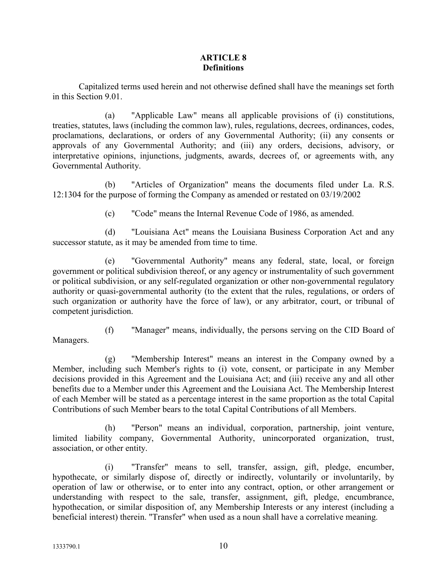#### **ARTICLE 8 Definitions**

Capitalized terms used herein and not otherwise defined shall have the meanings set forth in this Section 9.01.

(a) "Applicable Law" means all applicable provisions of (i) constitutions, treaties, statutes, laws (including the common law), rules, regulations, decrees, ordinances, codes, proclamations, declarations, or orders of any Governmental Authority; (ii) any consents or approvals of any Governmental Authority; and (iii) any orders, decisions, advisory, or interpretative opinions, injunctions, judgments, awards, decrees of, or agreements with, any Governmental Authority.

(b) "Articles of Organization" means the documents filed under La. R.S. 12:1304 for the purpose of forming the Company as amended or restated on 03/19/2002

(c) "Code" means the Internal Revenue Code of 1986, as amended.

(d) "Louisiana Act" means the Louisiana Business Corporation Act and any successor statute, as it may be amended from time to time.

(e) "Governmental Authority" means any federal, state, local, or foreign government or political subdivision thereof, or any agency or instrumentality of such government or political subdivision, or any self-regulated organization or other non-governmental regulatory authority or quasi-governmental authority (to the extent that the rules, regulations, or orders of such organization or authority have the force of law), or any arbitrator, court, or tribunal of competent jurisdiction.

(f) "Manager" means, individually, the persons serving on the CID Board of Managers.

(g) "Membership Interest" means an interest in the Company owned by a Member, including such Member's rights to (i) vote, consent, or participate in any Member decisions provided in this Agreement and the Louisiana Act; and (iii) receive any and all other benefits due to a Member under this Agreement and the Louisiana Act. The Membership Interest of each Member will be stated as a percentage interest in the same proportion as the total Capital Contributions of such Member bears to the total Capital Contributions of all Members.

(h) "Person" means an individual, corporation, partnership, joint venture, limited liability company, Governmental Authority, unincorporated organization, trust, association, or other entity.

(i) "Transfer" means to sell, transfer, assign, gift, pledge, encumber, hypothecate, or similarly dispose of, directly or indirectly, voluntarily or involuntarily, by operation of law or otherwise, or to enter into any contract, option, or other arrangement or understanding with respect to the sale, transfer, assignment, gift, pledge, encumbrance, hypothecation, or similar disposition of, any Membership Interests or any interest (including a beneficial interest) therein. "Transfer" when used as a noun shall have a correlative meaning.